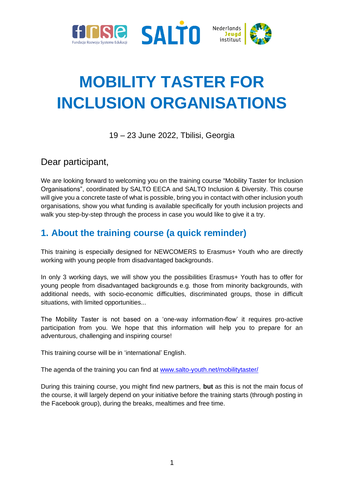





# **MOBILITY TASTER FOR INCLUSION ORGANISATIONS**

19 – 23 June 2022, Tbilisi, Georgia

Dear participant,

We are looking forward to welcoming you on the training course "Mobility Taster for Inclusion Organisations", coordinated by SALTO EECA and SALTO Inclusion & Diversity. This course will give you a concrete taste of what is possible, bring you in contact with other inclusion youth organisations, show you what funding is available specifically for youth inclusion projects and walk you step-by-step through the process in case you would like to give it a try.

# **1. About the training course (a quick reminder)**

This training is especially designed for NEWCOMERS to Erasmus+ Youth who are directly working with young people from disadvantaged backgrounds.

In only 3 working days, we will show you the possibilities Erasmus+ Youth has to offer for young people from disadvantaged backgrounds e.g. those from minority backgrounds, with additional needs, with socio-economic difficulties, discriminated groups, those in difficult situations, with limited opportunities...

The Mobility Taster is not based on a 'one-way information-flow' it requires pro-active participation from you. We hope that this information will help you to prepare for an adventurous, challenging and inspiring course!

This training course will be in 'international' English.

The agenda of the training you can find at [www.salto-youth.net/mobilitytaster/](http://www.salto-youth.net/mobilitytaster/)

During this training course, you might find new partners, **but** as this is not the main focus of the course, it will largely depend on your initiative before the training starts (through posting in the Facebook group), during the breaks, mealtimes and free time.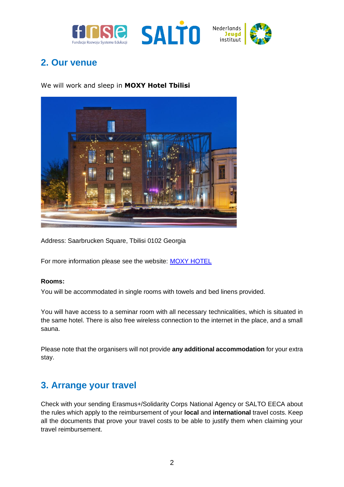



## **2. Our venue**

We will work and sleep in **MOXY Hotel Tbilisi**



Address: Saarbrucken Square, Tbilisi 0102 Georgia

For more information please see the website[:](http://www.landhotelyspertal.at/) [MOXY HOTEL](https://www.marriott.com/en-us/hotels/tbsox-moxy-tbilisi/overview/)

#### **Rooms:**

You will be accommodated in single rooms with towels and bed linens provided.

You will have access to a seminar room with all necessary technicalities, which is situated in the same hotel. There is also free wireless connection to the internet in the place, and a small sauna.

Please note that the organisers will not provide **any additional accommodation** for your extra stay.

## **3. Arrange your travel**

Check with your sending Erasmus+/Solidarity Corps National Agency or SALTO EECA about the rules which apply to the reimbursement of your **local** and **international** travel costs. Keep all the documents that prove your travel costs to be able to justify them when claiming your travel reimbursement.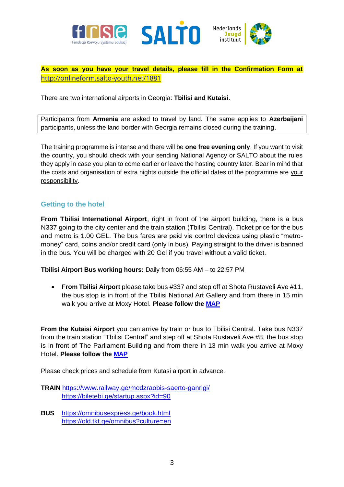



**As soon as you have your travel details, please fill in the Confirmation Form at** <http://onlineform.salto-youth.net/1881>

There are two international airports in Georgia: **Tbilisi and Kutaisi**.

Participants from **Armenia** are asked to travel by land. The same applies to **Azerbaijani** participants, unless the land border with Georgia remains closed during the training.

The training programme is intense and there will be **one free evening only**. If you want to visit the country, you should check with your sending National Agency or SALTO about the rules they apply in case you plan to come earlier or leave the hosting country later. Bear in mind that the costs and organisation of extra nights outside the official dates of the programme are your responsibility.

### **Getting to the hotel**

**From Tbilisi International Airport**, right in front of the airport building, there is a bus N337 going to the city center and the train station (Tbilisi Central). Ticket price for the bus and metro is 1.00 GEL. The bus fares are paid via control devices using plastic "metromoney" card, coins and/or credit card (only in bus). Paying straight to the driver is banned in the bus. You will be charged with 20 Gel if you travel without a valid ticket.

**Tbilisi Airport Bus working hours:** Daily from 06:55 AM – to 22:57 PM

• **From Tbilisi Airport** please take bus #337 and step off at Shota Rustaveli Ave #11, the bus stop is in front of the Tbilisi National Art Gallery and from there in 15 min walk you arrive at Moxy Hotel. **Please follow the [MAP](https://www.google.com/maps/dir/The+National+Gallery,+Shota+Rustaveli+Avenue,+Tbilisi/Moxy+Tbilisi+GE+Tbilisi+Saarbrucken+Square)**

**From the Kutaisi Airport** you can arrive by train or bus to Tbilisi Central. Take bus N337 from the train station "Tbilisi Central" and step off at Shota Rustaveli Ave #8, the bus stop is in front of The Parliament Building and from there in 13 min walk you arrive at Moxy Hotel. **Please follow the [MAP](https://www.google.com/maps/dir/Parliament+of+Georgia,+Shota+Rustaveli+Avenue,+Tbilisi/Moxy+Tbilisi+GE+Tbilisi+Saarbrucken+Square/@41.6998133,44.7971014,16z/data=!3m1!4b1!4m14!4m13!1m5!1m1!1s0x40440ce89788d313:0xc98ef1e2e13ce8ac!2m2!1d44.7990263!2d41.696865!1m5!1m1!1s0x40440ce044d38b97:0x3add2716554612d7!2m2!1d44.8048283!2d41.7026984!3e2)**

Please check prices and schedule from Kutasi airport in advance.

- **TRAIN** <https://www.railway.ge/modzraobis-saerto-ganrigi/> <https://biletebi.ge/startup.aspx?id=90>
- **BUS** <https://omnibusexpress.ge/book.html> <https://old.tkt.ge/omnibus?culture=en>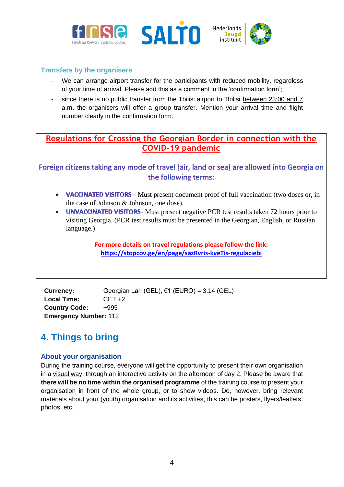





### **Transfers by the organisers**

- We can arrange airport transfer for the participants with reduced mobility, regardless of your time of arrival. Please add this as a comment in the 'confirmation form';
- since there is no public transfer from the Tbilisi airport to Tbilisi between 23:00 and 7 a.m. the organisers will offer a group transfer. Mention your arrival time and flight number clearly in the confirmation form.

### **Regulations for Crossing the Georgian Border in connection with the COVID-19 pandemic**

Foreign citizens taking any mode of travel (air, land or sea) are allowed into Georgia on the following terms:

- VACCINATED VISITORS Must present document proof of full vaccination (two doses or, in the case of Johnson & Johnson, one dose).
- UNVACCINATED VISITORS- Must present negative PCR test results taken 72 hours prior to visiting Georgia. (PCR test results must be presented in the Georgian, English, or Russian language.)

**For more details on travel regulations please follow the link: <https://stopcov.ge/en/page/sazRvris-kveTis-regulaciebi>**

**Currency:** Georgian Lari (GEL), €1 (EURO) = 3.14 (GEL) **Local Time:** CET +2 **Country Code:** +995 **Emergency Number:** 112

# **4. Things to bring**

### **About your organisation**

During the training course, everyone will get the opportunity to present their own organisation in a visual way, through an interactive activity on the afternoon of day 2. Please be aware that **there will be no time within the organised programme** of the training course to present your organisation in front of the whole group, or to show videos. Do, however, bring relevant materials about your (youth) organisation and its activities, this can be posters, flyers/leaflets, photos, etc.